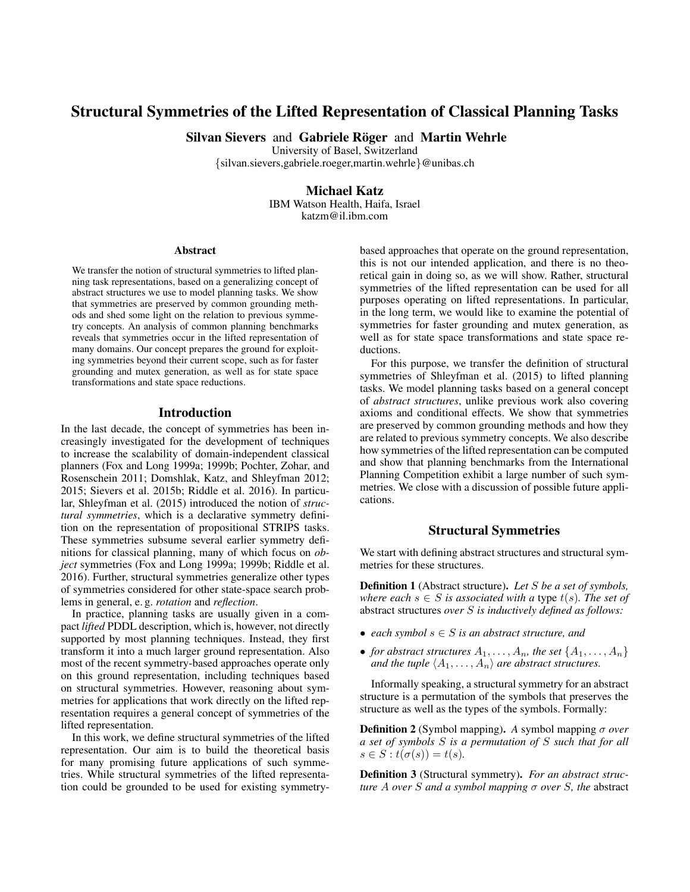# Structural Symmetries of the Lifted Representation of Classical Planning Tasks

Silvan Sievers and Gabriele Röger and Martin Wehrle

University of Basel, Switzerland

{silvan.sievers,gabriele.roeger,martin.wehrle}@unibas.ch

# Michael Katz

IBM Watson Health, Haifa, Israel katzm@il.ibm.com

#### Abstract

We transfer the notion of structural symmetries to lifted planning task representations, based on a generalizing concept of abstract structures we use to model planning tasks. We show that symmetries are preserved by common grounding methods and shed some light on the relation to previous symmetry concepts. An analysis of common planning benchmarks reveals that symmetries occur in the lifted representation of many domains. Our concept prepares the ground for exploiting symmetries beyond their current scope, such as for faster grounding and mutex generation, as well as for state space transformations and state space reductions.

### Introduction

In the last decade, the concept of symmetries has been increasingly investigated for the development of techniques to increase the scalability of domain-independent classical planners (Fox and Long 1999a; 1999b; Pochter, Zohar, and Rosenschein 2011; Domshlak, Katz, and Shleyfman 2012; 2015; Sievers et al. 2015b; Riddle et al. 2016). In particular, Shleyfman et al. (2015) introduced the notion of *structural symmetries*, which is a declarative symmetry definition on the representation of propositional STRIPS tasks. These symmetries subsume several earlier symmetry definitions for classical planning, many of which focus on *object* symmetries (Fox and Long 1999a; 1999b; Riddle et al. 2016). Further, structural symmetries generalize other types of symmetries considered for other state-space search problems in general, e. g. *rotation* and *reflection*.

In practice, planning tasks are usually given in a compact *lifted* PDDL description, which is, however, not directly supported by most planning techniques. Instead, they first transform it into a much larger ground representation. Also most of the recent symmetry-based approaches operate only on this ground representation, including techniques based on structural symmetries. However, reasoning about symmetries for applications that work directly on the lifted representation requires a general concept of symmetries of the lifted representation.

In this work, we define structural symmetries of the lifted representation. Our aim is to build the theoretical basis for many promising future applications of such symmetries. While structural symmetries of the lifted representation could be grounded to be used for existing symmetrybased approaches that operate on the ground representation, this is not our intended application, and there is no theoretical gain in doing so, as we will show. Rather, structural symmetries of the lifted representation can be used for all purposes operating on lifted representations. In particular, in the long term, we would like to examine the potential of symmetries for faster grounding and mutex generation, as well as for state space transformations and state space reductions.

For this purpose, we transfer the definition of structural symmetries of Shleyfman et al. (2015) to lifted planning tasks. We model planning tasks based on a general concept of *abstract structures*, unlike previous work also covering axioms and conditional effects. We show that symmetries are preserved by common grounding methods and how they are related to previous symmetry concepts. We also describe how symmetries of the lifted representation can be computed and show that planning benchmarks from the International Planning Competition exhibit a large number of such symmetries. We close with a discussion of possible future applications.

### Structural Symmetries

We start with defining abstract structures and structural symmetries for these structures.

Definition 1 (Abstract structure). *Let* S *be a set of symbols, where each*  $s \in S$  *is associated with a type t(s). The set of* abstract structures *over* S *is inductively defined as follows:*

- *each symbol* s ∈ S *is an abstract structure, and*
- *for abstract structures*  $A_1, \ldots, A_n$ *, the set*  $\{A_1, \ldots, A_n\}$ *and the tuple*  $\langle A_1, \ldots, A_n \rangle$  *are abstract structures.*

Informally speaking, a structural symmetry for an abstract structure is a permutation of the symbols that preserves the structure as well as the types of the symbols. Formally:

Definition 2 (Symbol mapping). *A* symbol mapping σ *over a set of symbols* S *is a permutation of* S *such that for all*  $s \in S : t(\sigma(s)) = t(s)$ .

Definition 3 (Structural symmetry). *For an abstract structure* A *over* S *and a symbol mapping* σ *over* S*, the* abstract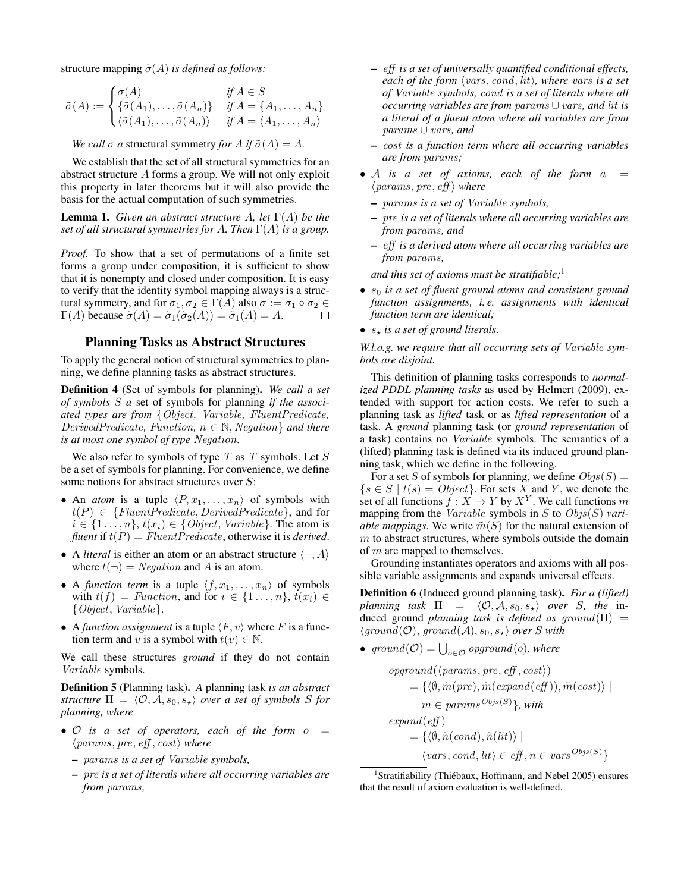structure mapping  $\tilde{\sigma}(A)$  *is defined as follows:* 

$$
\tilde{\sigma}(A) := \begin{cases}\n\sigma(A) & \text{if } A \in S \\
\{\tilde{\sigma}(A_1), \dots, \tilde{\sigma}(A_n)\} & \text{if } A = \{A_1, \dots, A_n\} \\
\langle \tilde{\sigma}(A_1), \dots, \tilde{\sigma}(A_n) \rangle & \text{if } A = \langle A_1, \dots, A_n \rangle\n\end{cases}
$$

*We call*  $\sigma$  *a* structural symmetry *for*  $A$  *if*  $\tilde{\sigma}(A) = A$ *.* 

We establish that the set of all structural symmetries for an abstract structure A forms a group. We will not only exploit this property in later theorems but it will also provide the basis for the actual computation of such symmetries.

**Lemma 1.** *Given an abstract structure A, let*  $\Gamma(A)$  *be the set of all structural symmetries for* A*. Then* Γ(A) *is a group.*

*Proof.* To show that a set of permutations of a finite set forms a group under composition, it is sufficient to show that it is nonempty and closed under composition. It is easy to verify that the identity symbol mapping always is a structural symmetry, and for  $\sigma_1, \sigma_2 \in \Gamma(A)$  also  $\sigma := \sigma_1 \circ \sigma_2 \in \Gamma(A)$  because  $\tilde{\sigma}(A) = \tilde{\sigma}_1(\tilde{\sigma}_2(A)) = \tilde{\sigma}_1(A) = A$ .  $\Gamma(A)$  because  $\tilde{\sigma}(A) = \tilde{\sigma}_1(\tilde{\sigma}_2(A)) = \tilde{\sigma}_1(A) = A$ .

### Planning Tasks as Abstract Structures

To apply the general notion of structural symmetries to planning, we define planning tasks as abstract structures.

Definition 4 (Set of symbols for planning). *We call a set of symbols* S *a* set of symbols for planning *if the associated types are from* {Object*,* Variable*,* FluentPredicate*,* DerivedPredicate, Function,  $n \in \mathbb{N}$ , Negation } and there *is at most one symbol of type* Negation*.*

We also refer to symbols of type  $T$  as  $T$  symbols. Let  $S$ be a set of symbols for planning. For convenience, we define some notions for abstract structures over S:

- An *atom* is a tuple  $\langle P, x_1, \ldots, x_n \rangle$  of symbols with  $t(P) \in \{FluentPredicte, DerivedPredicte\}$ , and for  $i \in \{1 \ldots, n\}, t(x_i) \in \{Object, Variable\}.$  The atom is *fluent* if  $t(P) = FluentPredicte$ , otherwise it is *derived*.
- A *literal* is either an atom or an abstract structure  $\langle \neg, A \rangle$ where  $t(\neg) = Neqation$  and A is an atom.
- A *function term* is a tuple  $\langle f, x_1, \ldots, x_n \rangle$  of symbols with  $t(f) = Function$ , and for  $i \in \{1 \ldots, n\}$ ,  $t(x_i) \in$ {Object, Variable}.
- A *function assignment* is a tuple  $\langle F, v \rangle$  where F is a function term and v is a symbol with  $t(v) \in \mathbb{N}$ .

We call these structures *ground* if they do not contain Variable symbols.

Definition 5 (Planning task). *A* planning task *is an abstract structure*  $\Pi = \langle O, A, s_0, s_* \rangle$  *over a set of symbols* S *for planning, where*

- $\bullet$  O is a set of operators, each of the form  $o =$  $\langle \textit{params}, \textit{pre}, \textit{eff}, \textit{cost} \rangle$  where
	- params *is a set of* Variable *symbols,*
	- pre *is a set of literals where all occurring variables are from* params*,*
- eff *is a set of universally quantified conditional effects, each of the form*  $\langle vars, cond, lit \rangle$ *, where vars is a set of* Variable *symbols,* cond *is a set of literals where all occurring variables are from* params ∪ vars*, and* lit *is a literal of a fluent atom where all variables are from* params ∪ vars*, and*
- cost *is a function term where all occurring variables are from* params*;*
- $A$  *is a set of axioms, each of the form*  $a =$  $\langle \textit{params}, \textit{pre}, \textit{eff} \rangle$  *where* 
	- params *is a set of* Variable *symbols,*
	- pre *is a set of literals where all occurring variables are from* params*, and*
	- eff *is a derived atom where all occurring variables are from* params*,*

*and this set of axioms must be stratifiable;*<sup>1</sup>

- $s_0$  *is a set of fluent ground atoms and consistent ground function assignments, i. e. assignments with identical function term are identical;*
- $s<sub>*</sub>$  *is a set of ground literals.*

*W.l.o.g. we require that all occurring sets of* Variable *symbols are disjoint.*

This definition of planning tasks corresponds to *normalized PDDL planning tasks* as used by Helmert (2009), extended with support for action costs. We refer to such a planning task as *lifted* task or as *lifted representation* of a task. A *ground* planning task (or *ground representation* of a task) contains no Variable symbols. The semantics of a (lifted) planning task is defined via its induced ground planning task, which we define in the following.

For a set S of symbols for planning, we define  $Objs(S)$  =  $\{s \in S \mid t(s) = Object\}$ . For sets X and Y, we denote the set of all functions  $\hat{f}: \check{X} \to Y$  by  $X^Y$ . We call functions  $m$ mapping from the Variable symbols in S to Objs(S) *variable mappings*. We write  $\tilde{m}(S)$  for the natural extension of  $m$  to abstract structures, where symbols outside the domain of  $m$  are mapped to themselves.

Grounding instantiates operators and axioms with all possible variable assignments and expands universal effects.

Definition 6 (Induced ground planning task). *For a (lifted) planning task*  $\Pi = \langle O, A, s_0, s_* \rangle$  *over S, the* induced ground *planning task is defined as ground*( $\Pi$ ) =  $\langle ground(O), ground(A), s_0, s_{\star} \rangle$  *over* S with

•  $ground(\mathcal{O}) = \bigcup_{o \in \mathcal{O}} \text{opground}(o)$ , where

$$
opground(\langle params, pre, eff, cost \rangle)
$$
  
= { $\langle \emptyset, \tilde{m}(pre), \tilde{m}(expand(eff)), \tilde{m}(cost) \rangle$  |  
 $m \in params^{Objs(S)}$ }, with  
 $expand(eff)$   
= { $\langle \emptyset, \tilde{n}(cond), \tilde{n}(lit) \rangle$  |  
 $\langle vars, cond, lit \rangle \in eff, n \in vars^{Objs(S)}$ }

<sup>&</sup>lt;sup>1</sup> Stratifiability (Thiébaux, Hoffmann, and Nebel 2005) ensures that the result of axiom evaluation is well-defined.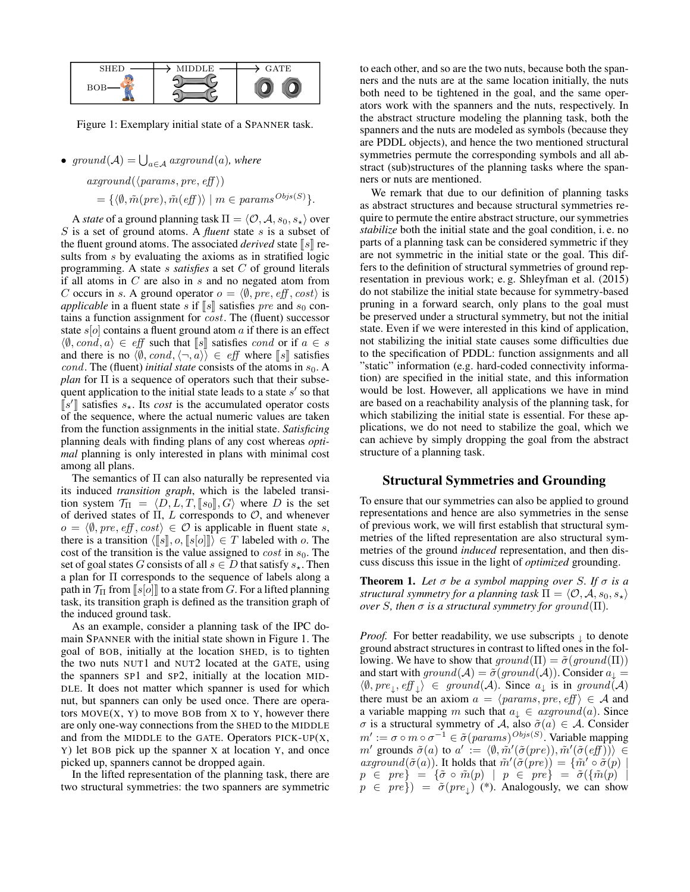

Figure 1: Exemplary initial state of a SPANNER task.

•  $ground(\mathcal{A}) = \bigcup_{a \in \mathcal{A}}arground(a)$ *, where* 

 $arground(\langle params, pre, eff \rangle)$  $= {\langle \langle \emptyset, \tilde{m}(pre), \tilde{m}(eff) \rangle \mid m \in params^{Objs(S)} \}$ .

A *state* of a ground planning task  $\Pi = \langle O, A, s_0, s_* \rangle$  over S is a set of ground atoms. A *fluent* state s is a subset of the fluent ground atoms. The associated *derived* state  $\llbracket s \rrbracket$  results from s by evaluating the axioms as in stratified logic programming. A state s *satisfies* a set C of ground literals if all atoms in  $C$  are also in  $s$  and no negated atom from C occurs in s. A ground operator  $o = \langle \emptyset, pre, eff, cost \rangle$  is *applicable* in a fluent state s if  $\llbracket s \rrbracket$  satisfies pre and s<sub>0</sub> contains a function assignment for cost. The (fluent) successor state  $s[\circ]$  contains a fluent ground atom a if there is an effect  $\langle \emptyset, cond, a \rangle \in eff$  such that [s] satisfies cond or if  $a \in s$ and there is no  $\langle \emptyset, cond, \langle \neg, a \rangle \rangle \in eff$  where  $\llbracket s \rrbracket$  satisfies *cond.* The (fluent) *initial state* consists of the atoms in  $s_0$ . A *plan* for Π is a sequence of operators such that their subsequent application to the initial state leads to a state  $s'$  so that  $\llbracket s' \rrbracket$  satisfies  $s_x$ . Its *cost* is the accumulated operator costs of the sequence where the actual numeric values are taken of the sequence, where the actual numeric values are taken from the function assignments in the initial state. *Satisficing* planning deals with finding plans of any cost whereas *optimal* planning is only interested in plans with minimal cost among all plans.

The semantics of  $\Pi$  can also naturally be represented via its induced *transition graph*, which is the labeled transition system  $\mathcal{T}_{\Pi} = \langle D, L, T, [s_0], G \rangle$  where D is the set of derived states of  $\Pi$ ,  $L$  corresponds to  $\mathcal{O}$ , and whenever  $o = \langle \emptyset, pre, eff, cost \rangle \in \mathcal{O}$  is applicable in fluent state s, there is a transition  $\langle [s], o, [s[o]] \rangle \in T$  labeled with o. The cost of the transition is the value assigned to *cost* in  $s_0$ . The set of goal states G consists of all  $s \in D$  that satisfy  $s_{\star}$ . Then a plan for Π corresponds to the sequence of labels along a path in  $\mathcal{T}_{\Pi}$  from  $\lbrack s|o \rbrack \rbrack$  to a state from G. For a lifted planning task, its transition graph is defined as the transition graph of the induced ground task.

As an example, consider a planning task of the IPC domain SPANNER with the initial state shown in Figure 1. The goal of BOB, initially at the location SHED, is to tighten the two nuts NUT1 and NUT2 located at the GATE, using the spanners SP1 and SP2, initially at the location MID-DLE. It does not matter which spanner is used for which nut, but spanners can only be used once. There are operators  $MOVE(X, Y)$  to move BOB from X to Y, however there are only one-way connections from the SHED to the MIDDLE and from the MIDDLE to the GATE. Operators  $PICK-UP(X,$ Y) let BOB pick up the spanner X at location Y, and once picked up, spanners cannot be dropped again.

In the lifted representation of the planning task, there are two structural symmetries: the two spanners are symmetric

to each other, and so are the two nuts, because both the spanners and the nuts are at the same location initially, the nuts both need to be tightened in the goal, and the same operators work with the spanners and the nuts, respectively. In the abstract structure modeling the planning task, both the spanners and the nuts are modeled as symbols (because they are PDDL objects), and hence the two mentioned structural symmetries permute the corresponding symbols and all abstract (sub)structures of the planning tasks where the spanners or nuts are mentioned.

We remark that due to our definition of planning tasks as abstract structures and because structural symmetries require to permute the entire abstract structure, our symmetries *stabilize* both the initial state and the goal condition, i. e. no parts of a planning task can be considered symmetric if they are not symmetric in the initial state or the goal. This differs to the definition of structural symmetries of ground representation in previous work; e. g. Shleyfman et al. (2015) do not stabilize the initial state because for symmetry-based pruning in a forward search, only plans to the goal must be preserved under a structural symmetry, but not the initial state. Even if we were interested in this kind of application, not stabilizing the initial state causes some difficulties due to the specification of PDDL: function assignments and all "static" information (e.g. hard-coded connectivity information) are specified in the initial state, and this information would be lost. However, all applications we have in mind are based on a reachability analysis of the planning task, for which stabilizing the initial state is essential. For these applications, we do not need to stabilize the goal, which we can achieve by simply dropping the goal from the abstract structure of a planning task.

# Structural Symmetries and Grounding

To ensure that our symmetries can also be applied to ground representations and hence are also symmetries in the sense of previous work, we will first establish that structural symmetries of the lifted representation are also structural symmetries of the ground *induced* representation, and then discuss discuss this issue in the light of *optimized* grounding.

**Theorem 1.** Let  $\sigma$  be a symbol mapping over S. If  $\sigma$  is a *structural symmetry for a planning task*  $\Pi = \langle O, A, s_0, s_* \rangle$ *over S*, then  $\sigma$  *is a structural symmetry for ground*( $\Pi$ )*.* 

*Proof.* For better readability, we use subscripts  $\downarrow$  to denote ground abstract structures in contrast to lifted ones in the following. We have to show that  $ground(\Pi) = \tilde{\sigma}(ground(\Pi))$ and start with  $ground(\mathcal{A}) = \tilde{\sigma}(ground(\mathcal{A}))$ . Consider  $a_{\downarrow} =$  $\langle \emptyset, pre_{\downarrow}, eff_{\downarrow} \rangle \in ground(\mathcal{A})$ . Since  $a_{\downarrow}$  is in ground  $(\mathcal{A})$ there must be an axiom  $a = \langle p \text{arams}, \text{pre}, \text{eff} \rangle \in \mathcal{A}$  and a variable mapping m such that  $a_{\perp} \in \mathit{arground}(a)$ . Since  $σ$  is a structural symmetry of A, also  $\tilde{σ}(a) \in A$ . Consider  $m' := \sigma \circ m \circ \sigma^{-1} \in \tilde{\sigma}(params)^{Objs(S)}$ . Variable mapping m' grounds  $\tilde{\sigma}(a)$  to  $a' := \langle \emptyset, \tilde{m}'(\tilde{\sigma}(pre)), \tilde{m}'(\tilde{\sigma}(eff)) \rangle \in$ axground $(\tilde{\sigma}(a))$ . It holds that  $\tilde{m}'(\tilde{\sigma}(pre)) = {\tilde{m}' \circ \tilde{\sigma}(p) \mid \tilde{\sigma}(pre)}$  $p \in pre$  =  $\{\tilde{\sigma} \circ \tilde{m}(p) \mid p \in pre\} = \tilde{\sigma}(\{\tilde{m}(p)\})$  $p \in pre$   $) = \tilde{\sigma}(pre_{\downarrow})$  (\*). Analogously, we can show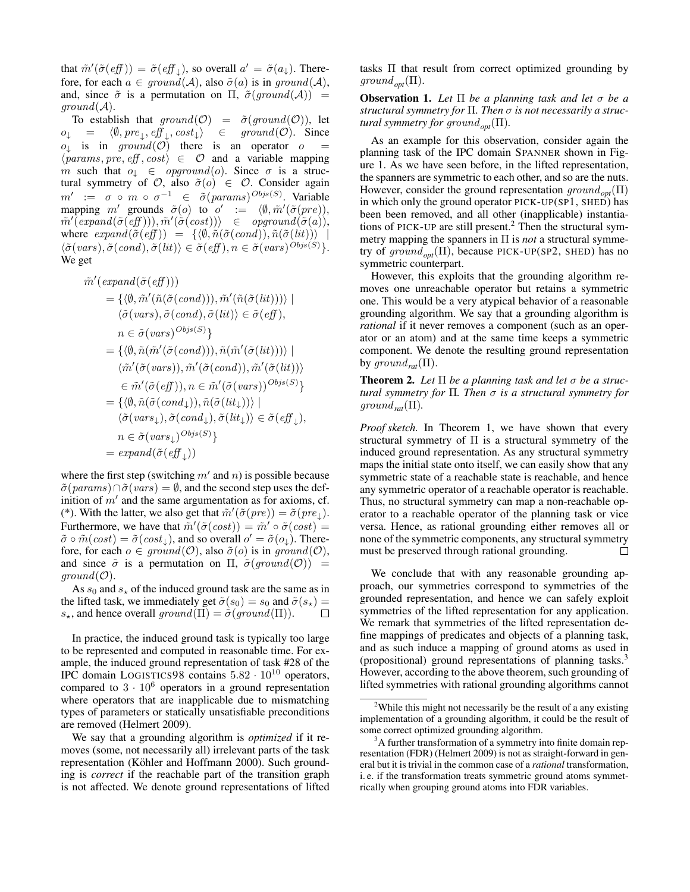that  $\tilde{m}'(\tilde{\sigma}(eff)) = \tilde{\sigma}(eff_{\downarrow}),$  so overall  $a' = \tilde{\sigma}(a_{\downarrow}).$  Therefore, for each  $a \in ground(\mathcal{A})$ , also  $\tilde{\sigma}(a)$  is in ground( $\mathcal{A}$ ), and, since  $\tilde{\sigma}$  is a permutation on  $\Pi$ ,  $\tilde{\sigma}(ground(\mathcal{A}))$  =  $ground(\mathcal{A}).$ 

To establish that  $ground(\mathcal{O}) = \tilde{\sigma}(ground(\mathcal{O}))$ , let  $o_{\downarrow} = \langle \emptyset, pre_{\downarrow}, eff_{\downarrow}, cost_{\downarrow} \rangle \in \text{ground}(\mathcal{O})$ . Since  $o_{\downarrow}$  is in ground( $\mathcal{O}$ ) there is an operator  $o =$  $\langle \text{params}, \text{pre}, \text{eff}, \text{cost} \rangle \in \mathcal{O}$  and a variable mapping m such that  $o_{\downarrow} \in \text{opground}(o)$ . Since  $\sigma$  is a structural symmetry of  $\mathcal{O}$ , also  $\tilde{\sigma}(o) \in \mathcal{O}$ . Consider again  $m' := \sigma \circ m \circ \sigma^{-1} \in \tilde{\sigma}(params)^{Obj_S(S)}$ . Variable mapping m' grounds  $\tilde{\sigma}(o)$  to  $o' := \langle \emptyset, \tilde{m}'(\tilde{\sigma}(pre)), \rangle$  $\tilde{m}'(\overline{expand}(\tilde{\sigma}(\overline{eff}))), \tilde{m}'(\tilde{\sigma}(cost))) \quad \in \quad \textit{opground}(\tilde{\sigma}(a)),$ where  $expand(\tilde{\sigma}(eff)) = {\langle \emptyset, \tilde{n}(\tilde{\sigma}(cond)), \tilde{n}(\tilde{\sigma}(lit)) \rangle}$  $\langle \tilde{\sigma}(\text{vars}), \tilde{\sigma}(\text{cond}), \tilde{\sigma}(\text{lit}) \rangle \in \tilde{\sigma}(\text{eff}), n \in \tilde{\sigma}(\text{vars})^{Objs(S)} \}.$ We get

$$
\tilde{m}'(\text{expand}(\tilde{\sigma}(\text{eff})))
$$
\n
$$
= \{ \langle \emptyset, \tilde{m}'(\tilde{n}(\tilde{\sigma}(\text{cond}))), \tilde{m}'(\tilde{n}(\tilde{\sigma}(\text{lit})))) \mid
$$
\n
$$
\langle \tilde{\sigma}(\text{vars}), \tilde{\sigma}(\text{cond}), \tilde{\sigma}(\text{lit}) \rangle \in \tilde{\sigma}(\text{eff}),
$$
\n
$$
n \in \tilde{\sigma}(\text{vars})^{Obj_S(S)} \}
$$
\n
$$
= \{ \langle \emptyset, \tilde{n}(\tilde{m}'(\tilde{\sigma}(\text{cond}))), \tilde{n}(\tilde{m}'(\tilde{\sigma}(\text{lit})))) \mid
$$
\n
$$
\langle \tilde{m}'(\tilde{\sigma}(\text{vars}), \tilde{m}'(\tilde{\sigma}(\text{cond})), \tilde{m}'(\tilde{\sigma}(\text{lit}))) \rangle
$$
\n
$$
\in \tilde{m}'(\tilde{\sigma}(\text{eff})), n \in \tilde{m}'(\tilde{\sigma}(\text{vars}))^{Obj_S(S)} \}
$$
\n
$$
= \{ \langle \emptyset, \tilde{n}(\tilde{\sigma}(\text{cond}_+)), \tilde{n}(\tilde{\sigma}(\text{lit}_+)) \rangle \mid
$$
\n
$$
\langle \tilde{\sigma}(\text{vars}_+), \tilde{\sigma}(\text{cond}_+), \tilde{\sigma}(\text{lit}_+) \rangle \in \tilde{\sigma}(\text{eff}_+),
$$
\n
$$
n \in \tilde{\sigma}(\text{vars}_+)^{Obj_S(S)} \}
$$
\n
$$
= \text{expand}(\tilde{\sigma}(\text{eff}_+))
$$

where the first step (switching  $m'$  and n) is possible because  $\tilde{\sigma}(params) \cap \tilde{\sigma}(vars) = \emptyset$ , and the second step uses the definition of  $m'$  and the same argumentation as for axioms, cf. (\*). With the latter, we also get that  $\tilde{m}'(\tilde{\sigma}(pre)) = \tilde{\sigma}(pre_{\downarrow}).$ Furthermore, we have that  $\tilde{m}'(\tilde{\sigma}(cost)) = \tilde{m}' \circ \tilde{\sigma}(cost) =$  $\tilde{\sigma} \circ \tilde{m}(cost) = \tilde{\sigma}(cost_{\downarrow})$ , and so overall  $o' = \tilde{\sigma}(o_{\downarrow})$ . Therefore, for each  $o \in ground(\mathcal{O})$ , also  $\tilde{\sigma}(o)$  is in ground( $\mathcal{O}$ ), and since  $\tilde{\sigma}$  is a permutation on  $\Pi$ ,  $\tilde{\sigma}(ground(\mathcal{O}))$  =  $ground(\mathcal{O}).$ 

As  $s_0$  and  $s_{\star}$  of the induced ground task are the same as in the lifted task, we immediately get  $\tilde{\sigma}(s_0) = s_0$  and  $\tilde{\sigma}(s_\star) =$  $s_{\star}$ , and hence overall  $ground(\Pi) = \tilde{\sigma}(ground(\Pi)).$  $\Box$ 

In practice, the induced ground task is typically too large to be represented and computed in reasonable time. For example, the induced ground representation of task #28 of the IPC domain LOGISTICS98 contains  $5.82 \cdot 10^{10}$  operators, compared to  $3 \cdot 10^6$  operators in a ground representation where operators that are inapplicable due to mismatching types of parameters or statically unsatisfiable preconditions are removed (Helmert 2009).

We say that a grounding algorithm is *optimized* if it removes (some, not necessarily all) irrelevant parts of the task representation (Köhler and Hoffmann 2000). Such grounding is *correct* if the reachable part of the transition graph is not affected. We denote ground representations of lifted

tasks Π that result from correct optimized grounding by  $ground_{\text{out}}(\Pi)$ .

Observation 1. *Let* Π *be a planning task and let* σ *be a structural symmetry for* Π*. Then* σ *is not necessarily a structural symmetry for ground<sub>opt</sub>*( $\Pi$ ).

As an example for this observation, consider again the planning task of the IPC domain SPANNER shown in Figure 1. As we have seen before, in the lifted representation, the spanners are symmetric to each other, and so are the nuts. However, consider the ground representation ground*opt*(Π) in which only the ground operator PICK-UP(SP1, SHED) has been been removed, and all other (inapplicable) instantiations of PICK-UP are still present.<sup>2</sup> Then the structural symmetry mapping the spanners in Π is *not* a structural symmetry of ground*opt*(Π), because PICK-UP(SP2, SHED) has no symmetric counterpart.

However, this exploits that the grounding algorithm removes one unreachable operator but retains a symmetric one. This would be a very atypical behavior of a reasonable grounding algorithm. We say that a grounding algorithm is *rational* if it never removes a component (such as an operator or an atom) and at the same time keeps a symmetric component. We denote the resulting ground representation by ground<sub>rat</sub> $(\Pi)$ .

**Theorem 2.** Let  $\Pi$  be a planning task and let  $\sigma$  be a struc*tural symmetry for* Π*. Then* σ *is a structural symmetry for*  $ground_{rat}(\Pi)$ .

*Proof sketch.* In Theorem 1, we have shown that every structural symmetry of  $\Pi$  is a structural symmetry of the induced ground representation. As any structural symmetry maps the initial state onto itself, we can easily show that any symmetric state of a reachable state is reachable, and hence any symmetric operator of a reachable operator is reachable. Thus, no structural symmetry can map a non-reachable operator to a reachable operator of the planning task or vice versa. Hence, as rational grounding either removes all or none of the symmetric components, any structural symmetry must be preserved through rational grounding.  $\Box$ 

We conclude that with any reasonable grounding approach, our symmetries correspond to symmetries of the grounded representation, and hence we can safely exploit symmetries of the lifted representation for any application. We remark that symmetries of the lifted representation define mappings of predicates and objects of a planning task, and as such induce a mapping of ground atoms as used in (propositional) ground representations of planning tasks.<sup>3</sup> However, according to the above theorem, such grounding of lifted symmetries with rational grounding algorithms cannot

<sup>&</sup>lt;sup>2</sup>While this might not necessarily be the result of a any existing implementation of a grounding algorithm, it could be the result of some correct optimized grounding algorithm.

<sup>&</sup>lt;sup>3</sup>A further transformation of a symmetry into finite domain representation (FDR) (Helmert 2009) is not as straight-forward in general but it is trivial in the common case of a *rational* transformation, i. e. if the transformation treats symmetric ground atoms symmetrically when grouping ground atoms into FDR variables.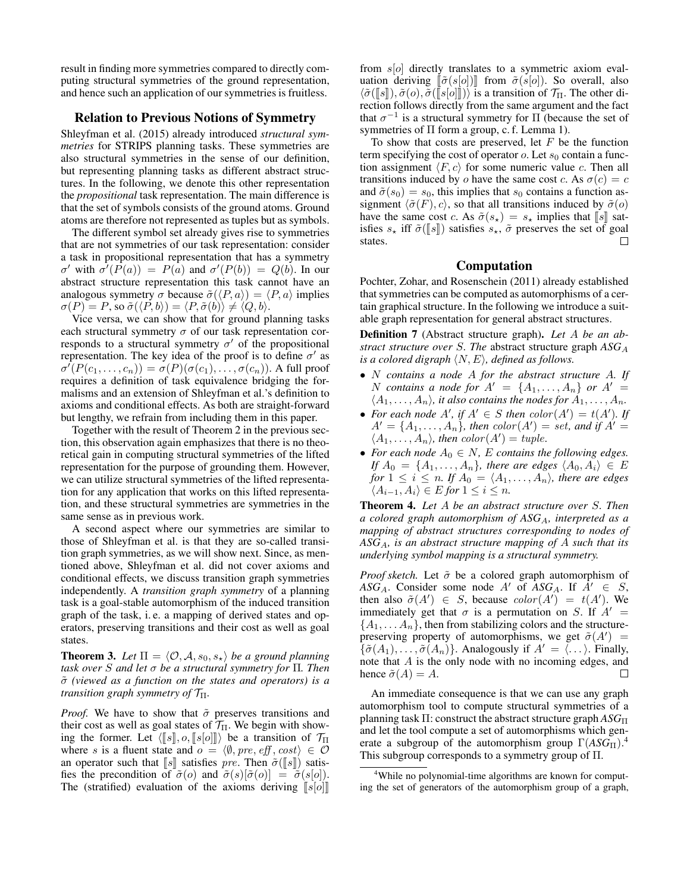result in finding more symmetries compared to directly computing structural symmetries of the ground representation, and hence such an application of our symmetries is fruitless.

# Relation to Previous Notions of Symmetry

Shleyfman et al. (2015) already introduced *structural symmetries* for STRIPS planning tasks. These symmetries are also structural symmetries in the sense of our definition, but representing planning tasks as different abstract structures. In the following, we denote this other representation the *propositional* task representation. The main difference is that the set of symbols consists of the ground atoms. Ground atoms are therefore not represented as tuples but as symbols.

The different symbol set already gives rise to symmetries that are not symmetries of our task representation: consider a task in propositional representation that has a symmetry  $\sigma'$  with  $\sigma'(P(a)) = P(a)$  and  $\sigma'(P(b)) = Q(b)$ . In our abstract structure representation this task cannot have an analogous symmetry  $\sigma$  because  $\tilde{\sigma}(\langle P, a \rangle) = \langle P, a \rangle$  implies  $\sigma(P) = P$ , so  $\tilde{\sigma}(\langle P, b \rangle) = \langle P, \tilde{\sigma}(b) \rangle \neq \langle Q, b \rangle$ .

Vice versa, we can show that for ground planning tasks each structural symmetry  $\sigma$  of our task representation corresponds to a structural symmetry  $\sigma'$  of the propositional representation. The key idea of the proof is to define  $\sigma'$  as  $\sigma^{'}(P(c_1,\ldots,c_n)) = \sigma(P)(\sigma(c_1),\ldots,\sigma(c_n))$ . A full proof requires a definition of task equivalence bridging the formalisms and an extension of Shleyfman et al.'s definition to axioms and conditional effects. As both are straight-forward but lengthy, we refrain from including them in this paper.

Together with the result of Theorem 2 in the previous section, this observation again emphasizes that there is no theoretical gain in computing structural symmetries of the lifted representation for the purpose of grounding them. However, we can utilize structural symmetries of the lifted representation for any application that works on this lifted representation, and these structural symmetries are symmetries in the same sense as in previous work.

A second aspect where our symmetries are similar to those of Shleyfman et al. is that they are so-called transition graph symmetries, as we will show next. Since, as mentioned above, Shleyfman et al. did not cover axioms and conditional effects, we discuss transition graph symmetries independently. A *transition graph symmetry* of a planning task is a goal-stable automorphism of the induced transition graph of the task, i. e. a mapping of derived states and operators, preserving transitions and their cost as well as goal states.

**Theorem 3.** Let  $\Pi = \langle O, A, s_0, s_* \rangle$  *be a ground planning task over* S *and let* σ *be a structural symmetry for* Π*. Then* σ˜ *(viewed as a function on the states and operators) is a transition graph symmetry of*  $\mathcal{T}_{\Pi}$ *.* 

*Proof.* We have to show that  $\tilde{\sigma}$  preserves transitions and their cost as well as goal states of  $\mathcal{T}_{\Pi}$ . We begin with showing the former. Let  $\langle [\![s]\!], o, [\![s[\![o]]\!]) \rangle$  be a transition of  $\mathcal{T}_{\Pi}$ where s is a fluent state and  $o = \langle \emptyset, pre, eff, cost \rangle \in \mathcal{O}$ an operator such that  $\llbracket s \rrbracket$  satisfies pre. Then  $\tilde{\sigma}(\llbracket s \rrbracket)$  satisfies the precondition of  $\tilde{\sigma}(o)$  and  $\tilde{\sigma}(s)[\tilde{\sigma}(o)] = \tilde{\sigma}(s[o]).$ The (stratified) evaluation of the axioms deriving  $\llbracket s[\alpha] \rrbracket$  from  $s[*o*]$  directly translates to a symmetric axiom evaluation deriving  $\lbrack \lbrack \tilde{\sigma}(s[o]) \rbrack$  from  $\tilde{\sigma}(s[o])$ . So overall, also  $\langle \tilde{\sigma}(\llbracket s \rrbracket), \tilde{\sigma}(o), \tilde{\sigma}(\llbracket s \rrbracket o \rrbracket)$  is a transition of  $\mathcal{T}_{\Pi}$ . The other direction follows directly from the same argument and the fact that  $\sigma^{-1}$  is a structural symmetry for  $\Pi$  (because the set of symmetries of Π form a group, c. f. Lemma 1).

To show that costs are preserved, let  $F$  be the function term specifying the cost of operator  $o$ . Let  $s_0$  contain a function assignment  $\langle F, c \rangle$  for some numeric value c. Then all transitions induced by o have the same cost c. As  $\sigma(c) = c$ and  $\tilde{\sigma}(s_0) = s_0$ , this implies that  $s_0$  contains a function assignment  $\langle \tilde{\sigma}(F), c \rangle$ , so that all transitions induced by  $\tilde{\sigma}(o)$ have the same cost c. As  $\tilde{\sigma}(s_\star) = s_\star$  implies that  $\llbracket s \rrbracket$  satisfies  $s_{\star}$  iff  $\tilde{\sigma}(\llbracket s \rrbracket)$  satisfies  $s_{\star}$ ,  $\tilde{\sigma}$  preserves the set of goal states. states.

# Computation

Pochter, Zohar, and Rosenschein (2011) already established that symmetries can be computed as automorphisms of a certain graphical structure. In the following we introduce a suitable graph representation for general abstract structures.

Definition 7 (Abstract structure graph). *Let* A *be an abstract structure over* S*. The* abstract structure graph *ASG*<sup>A</sup> *is a colored digraph*  $\langle N, E \rangle$ *, defined as follows.* 

- N *contains a node* A *for the abstract structure* A*. If* N contains a node for  $A' = \{A_1, \ldots, A_n\}$  or  $A' =$  $\langle A_1, \ldots, A_n \rangle$ , it also contains the nodes for  $A_1, \ldots, A_n$ .
- For each node  $A'$ , if  $A' \in S$  then  $color(A') = t(A')$ . If  $A' = \{A_1, \ldots, A_n\}$ , then  $color(A') = set$ , and if  $A' =$  $\langle A_1, \ldots, A_n \rangle$ , then  $color(A') = tuple.$
- For each node  $A_0 \in N$ , E contains the following edges. *If*  $A_0 = \{A_1, \ldots, A_n\}$ , there are edges  $\langle A_0, A_i \rangle \in E$ *for*  $1 \leq i \leq n$ *. If*  $A_0 = \langle A_1, \ldots, A_n \rangle$ *, there are edges*  $\langle A_{i-1}, A_i \rangle \in E$  *for*  $1 \leq i \leq n$ .

Theorem 4. *Let* A *be an abstract structure over* S*. Then a colored graph automorphism of ASG*A*, interpreted as a mapping of abstract structures corresponding to nodes of ASG*A*, is an abstract structure mapping of* A *such that its underlying symbol mapping is a structural symmetry.*

*Proof sketch.* Let  $\tilde{\sigma}$  be a colored graph automorphism of *ASG*<sub>A</sub>. Consider some node A' of *ASG*<sub>A</sub>. If  $A' \in S$ , then also  $\tilde{\sigma}(A') \in S$ , because  $color(A') = t(A')$ . We immediately get that  $\sigma$  is a permutation on S. If  $A' =$  ${A_1, \ldots, A_n}$ , then from stabilizing colors and the structurepreserving property of automorphisms, we get  $\tilde{\sigma}(A')$  =  $\{\tilde{\sigma}(A_1), \ldots, \tilde{\sigma}(A_n)\}\$ . Analogously if  $A' = \langle \ldots \rangle$ . Finally, note that A is the only node with no incoming edges, and hence  $\tilde{\sigma}(A) = A$ .  $\Box$ 

An immediate consequence is that we can use any graph automorphism tool to compute structural symmetries of a planning task Π: construct the abstract structure graph *ASG*<sup>Π</sup> and let the tool compute a set of automorphisms which generate a subgroup of the automorphism group  $\Gamma(ASG_{\Pi})$ .<sup>4</sup> This subgroup corresponds to a symmetry group of Π.

<sup>&</sup>lt;sup>4</sup>While no polynomial-time algorithms are known for computing the set of generators of the automorphism group of a graph,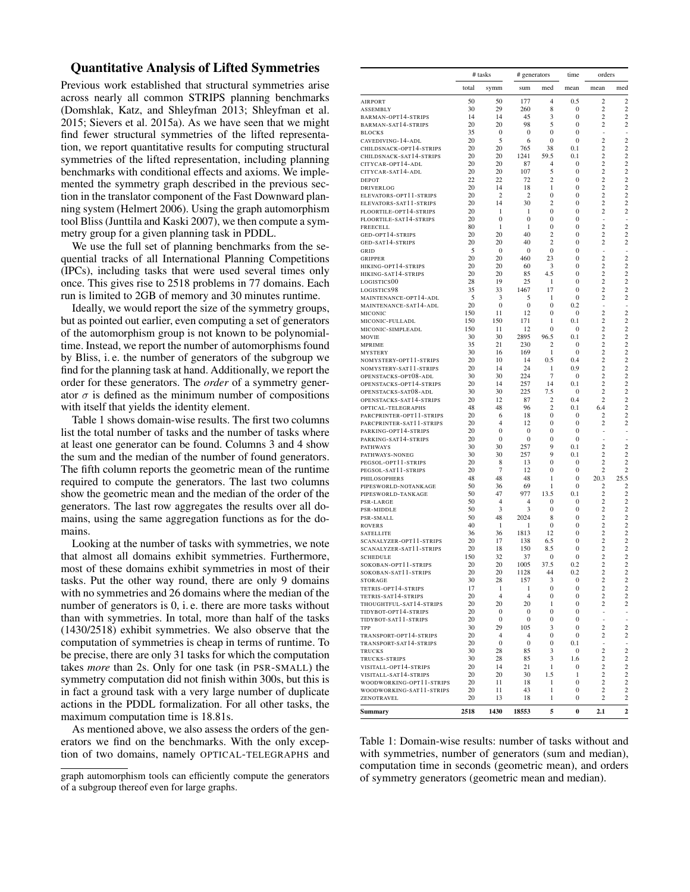# Quantitative Analysis of Lifted Symmetries

Previous work established that structural symmetries arise across nearly all common STRIPS planning benchmarks (Domshlak, Katz, and Shleyfman 2013; Shleyfman et al. 2015; Sievers et al. 2015a). As we have seen that we might find fewer structural symmetries of the lifted representation, we report quantitative results for computing structural symmetries of the lifted representation, including planning benchmarks with conditional effects and axioms. We implemented the symmetry graph described in the previous section in the translator component of the Fast Downward planning system (Helmert 2006). Using the graph automorphism tool Bliss (Junttila and Kaski 2007), we then compute a symmetry group for a given planning task in PDDL.

We use the full set of planning benchmarks from the sequential tracks of all International Planning Competitions (IPCs), including tasks that were used several times only once. This gives rise to 2518 problems in 77 domains. Each run is limited to 2GB of memory and 30 minutes runtime.

Ideally, we would report the size of the symmetry groups, but as pointed out earlier, even computing a set of generators of the automorphism group is not known to be polynomialtime. Instead, we report the number of automorphisms found by Bliss, i. e. the number of generators of the subgroup we find for the planning task at hand. Additionally, we report the order for these generators. The *order* of a symmetry generator  $\sigma$  is defined as the minimum number of compositions with itself that yields the identity element.

Table 1 shows domain-wise results. The first two columns list the total number of tasks and the number of tasks where at least one generator can be found. Columns 3 and 4 show the sum and the median of the number of found generators. The fifth column reports the geometric mean of the runtime required to compute the generators. The last two columns show the geometric mean and the median of the order of the generators. The last row aggregates the results over all domains, using the same aggregation functions as for the domains.

Looking at the number of tasks with symmetries, we note that almost all domains exhibit symmetries. Furthermore, most of these domains exhibit symmetries in most of their tasks. Put the other way round, there are only 9 domains with no symmetries and 26 domains where the median of the number of generators is 0, i. e. there are more tasks without than with symmetries. In total, more than half of the tasks (1430/2518) exhibit symmetries. We also observe that the computation of symmetries is cheap in terms of runtime. To be precise, there are only 31 tasks for which the computation takes *more* than 2s. Only for one task (in PSR-SMALL) the symmetry computation did not finish within 300s, but this is in fact a ground task with a very large number of duplicate actions in the PDDL formalization. For all other tasks, the maximum computation time is 18.81s.

As mentioned above, we also assess the orders of the generators we find on the benchmarks. With the only exception of two domains, namely OPTICAL-TELEGRAPHS and

|                                                      | # tasks  |                       |                      | # generators        |                                | orders<br>time                   |                                           |
|------------------------------------------------------|----------|-----------------------|----------------------|---------------------|--------------------------------|----------------------------------|-------------------------------------------|
|                                                      | total    | symm                  | sum                  | med                 | mean                           | mean                             | med                                       |
| <b>AIRPORT</b>                                       | 50       | 50                    | 177                  | 4                   | 0.5                            | $\overline{c}$                   | $\boldsymbol{2}$                          |
| ASSEMBLY                                             | 30       | 29                    | 260                  | 8                   | 0                              | $\overline{c}$                   | $\overline{c}$                            |
| BARMAN-OPT14-STRIPS<br>BARMAN-SAT14-STRIPS           | 14<br>20 | 14<br>20              | 45<br>98             | 3<br>5              | 0<br>0                         | 2<br>$\overline{c}$              | $\overline{c}$<br>$\overline{c}$          |
| <b>BLOCKS</b>                                        | 35       | 0                     | 0                    | $\bf{0}$            | $\overline{0}$                 | ÷,                               | ÷,                                        |
| CAVEDIVING-14-ADL                                    | 20       | 5                     | 6                    | 0                   | 0                              | $\overline{c}$                   | $\overline{c}$                            |
| CHILDSNACK-OPT14-STRIPS                              | 20<br>20 | 20<br>20              | 765<br>1241          | 38<br>59.5          | 0.1<br>0.1                     | $\overline{c}$<br>$\overline{c}$ | $\overline{\mathbf{c}}$<br>$\overline{c}$ |
| CHILDSNACK-SAT14-STRIPS<br>CITYCAR-OPT14-ADL         | 20       | 20                    | 87                   | 4                   | 0                              | $\overline{c}$                   | $\overline{c}$                            |
| citycar-sat14-adl                                    | 20       | 20                    | 107                  | 5                   | 0                              | $\overline{c}$                   | $\overline{\mathbf{c}}$                   |
| <b>DEPOT</b>                                         | 22       | 22                    | 72                   | $\overline{c}$      | 0                              | $\overline{c}$                   | $\overline{\mathbf{c}}$                   |
| DRIVERLOG<br>ELEVATORS-OPT11-STRIPS                  | 20<br>20 | 14<br>2               | 18<br>$\overline{c}$ | 1<br>0              | 0<br>$\overline{0}$            | $\overline{c}$<br>$\overline{c}$ | $\overline{c}$<br>$\overline{c}$          |
| ELEVATORS-SAT11-STRIPS                               | 20       | 14                    | 30                   | 2                   | $\mathbf{0}$                   | $\overline{c}$                   | $\overline{c}$                            |
| FLOORTILE-OPT14-STRIPS                               | 20       | 1                     | 1                    | 0                   | $\mathbf{0}$                   | $\overline{c}$                   | $\overline{c}$                            |
| floortile-sat14-strips<br>FREECELL                   | 20<br>80 | $\bf{0}$<br>1         | $\bf{0}$<br>1        | 0<br>$\mathbf{0}$   | $\overline{0}$<br>$\mathbf{0}$ | $\overline{c}$                   | ÷,<br>$\overline{c}$                      |
| GED-OPT14-STRIPS                                     | 20       | 20                    | 40                   | 2                   | 0                              | 2                                | $\overline{c}$                            |
| GED-SAT14-STRIPS                                     | 20       | 20                    | 40                   | $\overline{c}$      | $\overline{0}$                 | $\overline{c}$                   | $\boldsymbol{2}$                          |
| GRID                                                 | 5        | 0                     | 0                    | 0                   | 0                              | ÷                                | ÷,                                        |
| GRIPPER<br>HIKING-OPT14-STRIPS                       | 20<br>20 | 20<br>20              | 460<br>60            | 23<br>3             | 0<br>$\overline{0}$            | $\overline{c}$<br>$\overline{c}$ | $\overline{c}$<br>$\overline{\mathbf{c}}$ |
| HIKING-SAT14-STRIPS                                  | 20       | 20                    | 85                   | 4.5                 | 0                              | $\overline{c}$                   | $\overline{c}$                            |
| LOGISTICS00                                          | 28       | 19                    | 25                   | 1                   | 0                              | 2                                | $\overline{\mathbf{c}}$                   |
| LOGISTICS98                                          | 35       | 33                    | 1467                 | 17                  | $\mathbf{0}$                   | $\overline{c}$                   | $\overline{c}$                            |
| MAINTENANCE-OPT14-ADL<br>MAINTENANCE-SAT14-ADL       | 5<br>20  | 3<br>$\mathbf{0}$     | 5<br>0               | 1<br>0              | 0<br>0.2                       | $\overline{c}$<br>ä,             | $\overline{c}$<br>÷,                      |
| MICONIC                                              | 150      | 11                    | 12                   | $\mathbf{0}$        | $\mathbf{0}$                   | $\overline{c}$                   | $\overline{c}$                            |
| MICONIC-FULLADL                                      | 150      | 150                   | 171                  | 1                   | 0.1                            | 2                                | $\overline{c}$                            |
| MICONIC-SIMPLEADL                                    | 150      | 11                    | 12                   | 0                   | 0                              | $\overline{c}$                   | $\overline{\mathbf{c}}$                   |
| MOVIE<br>MPRIME                                      | 30<br>35 | 30<br>21              | 2895<br>230          | 96.5<br>2           | 0.1<br>0                       | 2<br>$\overline{c}$              | $\overline{c}$<br>$\overline{c}$          |
| <b>MYSTERY</b>                                       | 30       | 16                    | 169                  | 1                   | 0                              | $\overline{c}$                   | $\overline{c}$                            |
| NOMYSTERY-OPT11-STRIPS                               | 20       | 10                    | 14                   | 0.5                 | 0.4                            | $\overline{c}$                   | $\overline{c}$                            |
| NOMYSTERY-SAT11-STRIPS                               | 20<br>30 | 14<br>30              | 24<br>224            | 1<br>$\overline{7}$ | 0.9                            | $\overline{c}$<br>$\overline{c}$ | $\overline{c}$<br>$\overline{c}$          |
| OPENSTACKS-OPT08-ADL<br>OPENSTACKS-OPT14-STRIPS      | 20       | 14                    | 257                  | 14                  | 0<br>0.1                       | 2                                | $\overline{c}$                            |
| OPENSTACKS-SAT08-ADL                                 | 30       | 30                    | 225                  | 7.5                 | 0                              | $\overline{c}$                   | $\overline{c}$                            |
| OPENSTACKS-SAT14-STRIPS                              | 20       | 12                    | 87                   | $\overline{c}$      | 0.4                            | $\overline{c}$                   | $\overline{c}$                            |
| OPTICAL-TELEGRAPHS                                   | 48<br>20 | 48                    | 96                   | 2                   | 0.1                            | 6.4                              | $\overline{c}$<br>$\overline{\mathbf{c}}$ |
| PARCPRINTER-OPT11-STRIPS<br>PARCPRINTER-SAT11-STRIPS | 20       | 6<br>$\overline{4}$   | 18<br>12             | 0<br>0              | 0<br>$\bf{0}$                  | 2<br>$\overline{c}$              | $\overline{c}$                            |
| PARKING-OPT14-STRIPS                                 | 20       | 0                     | 0                    | 0                   | 0                              |                                  |                                           |
| PARKING-SAT14-STRIPS                                 | 20       | 0                     | 0                    | 0                   | 0                              |                                  |                                           |
| <b>PATHWAYS</b><br>PATHWAYS-NONEG                    | 30<br>30 | 30<br>30              | 257<br>257           | 9<br>9              | 0.1<br>0.1                     | $\overline{c}$<br>2              | $\overline{c}$<br>$\overline{c}$          |
| PEGSOL-OPT11-STRIPS                                  | 20       | 8                     | 13                   | 0                   | 0                              | $\overline{c}$                   | $\overline{c}$                            |
| PEGSOL-SAT11-STRIPS                                  | 20       | 7                     | 12                   | $\mathbf{0}$        | $\mathbf{0}$                   | 2                                | $\overline{c}$                            |
| PHILOSOPHERS                                         | 48       | 48                    | 48                   | 1                   | 0                              | 20.3                             | 25.5                                      |
| PIPESWORLD-NOTANKAGE<br>PIPESWORLD-TANKAGE           | 50<br>50 | 36<br>47              | 69<br>977            | 1<br>13.5           | 0<br>0.1                       | 2<br>2                           | $\overline{c}$<br>$\mathfrak{2}$          |
| PSR-LARGE                                            | 50       | 4                     | 4                    | 0                   | 0                              | $\overline{c}$                   | $\overline{c}$                            |
| PSR-MIDDLE                                           | 50       | 3                     | 3                    | $\bf{0}$            | $\bf{0}$                       | $\overline{c}$                   | $\boldsymbol{2}$                          |
| PSR-SMALL                                            | 50       | 48                    | 2024                 | 8                   | $\mathbf{0}$                   | 2                                | $\overline{c}$                            |
| <b>ROVERS</b><br><b>SATELLITE</b>                    | 40<br>36 | 1<br>36               | 1<br>1813            | 0<br>12             | 0<br>$\overline{0}$            | $\overline{c}$<br>$\overline{c}$ | $\overline{c}$<br>$\overline{\mathbf{c}}$ |
| SCANALYZER-OPT11-STRIPS                              | 20       | 17                    | 138                  | 6.5                 | $\mathbf{0}$                   | 2                                | $\boldsymbol{2}$                          |
| SCANALYZER-SAT11-STRIPS                              | 20       | 18                    | 150                  | 8.5                 | 0                              | $\overline{c}$                   | $\overline{\mathbf{c}}$                   |
| SCHEDULE                                             | 150      | 32                    | 37                   | 0                   | 0                              | $\overline{c}$                   | $\overline{\mathbf{c}}$                   |
| SOKOBAN-OPT11-STRIPS<br>SOKOBAN-SAT l l-STRIPS       | 20<br>20 | 20<br>20              | 1005<br>1128         | 37.5<br>44          | 0.2<br>$_{0.2}$                | 2<br>2                           | $\overline{c}$<br>2                       |
| <b>STORAGE</b>                                       | 30       | 28                    | 157                  | 3                   | 0                              | 2                                | 2                                         |
| TETRIS-OPT14-STRIPS                                  | 17       | 1                     | 1                    | 0                   | 0                              | 2                                | 2                                         |
| TETRIS-SAT14-STRIPS                                  | 20       | $\overline{4}$        | 4                    | 0                   | 0                              | 2                                | $\mathbf{2}$                              |
| THOUGHTFUL-SAT14-STRIPS<br>TIDYBOT-OPT14-STRIPS      | 20<br>20 | 20<br>0               | 20<br>0              | 1<br>0              | 0<br>0                         | 2<br>÷                           | 2<br>÷                                    |
| TIDYBOT-SAT11-STRIPS                                 | 20       | 0                     | 0                    | 0                   | 0                              | $\overline{a}$                   | $\frac{1}{2}$                             |
| TPP                                                  | 30       | 29                    | 105                  | 3                   | 0                              | 2                                | 2                                         |
| TRANSPORT-OPT14-STRIPS                               | 20       | 4<br>$\boldsymbol{0}$ | 4                    | 0                   | 0                              | 2                                | 2                                         |
| TRANSPORT-SAT14-STRIPS<br><b>TRUCKS</b>              | 20<br>30 | 28                    | $\bf{0}$<br>85       | 0<br>3              | 0.1<br>0                       | $\overline{\phantom{a}}$<br>2    | $\overline{\phantom{a}}$<br>2             |
| TRUCKS-STRIPS                                        | 30       | 28                    | 85                   | 3                   | 1.6                            | 2                                | $\overline{\mathbf{c}}$                   |
| VISITALL-OPT14-STRIPS                                | 20       | 14                    | 21                   | 1                   | 0                              | 2                                | 2                                         |
| VISITALL-SAT14-STRIPS                                | 20       | 20                    | 30                   | 1.5                 | 1                              | 2<br>2                           | 2                                         |
| WOODWORKING-OPT11-STRIPS<br>WOODWORKING-SAT11-STRIPS | 20<br>20 | 11<br>11              | 18<br>43             | 1<br>1              | 0<br>0                         | 2                                | $\overline{\mathbf{c}}$<br>$\mathbf{2}$   |
| ZENOTRAVEL                                           | 20       | 13                    | 18                   | 1                   | 0                              | 2                                | 2                                         |
| Summary                                              | 2518     | 1430                  | 18553                | 5                   | 0                              | 2.1                              | 2                                         |
|                                                      |          |                       |                      |                     |                                |                                  |                                           |

Table 1: Domain-wise results: number of tasks without and with symmetries, number of generators (sum and median), computation time in seconds (geometric mean), and orders of symmetry generators (geometric mean and median).

graph automorphism tools can efficiently compute the generators of a subgroup thereof even for large graphs.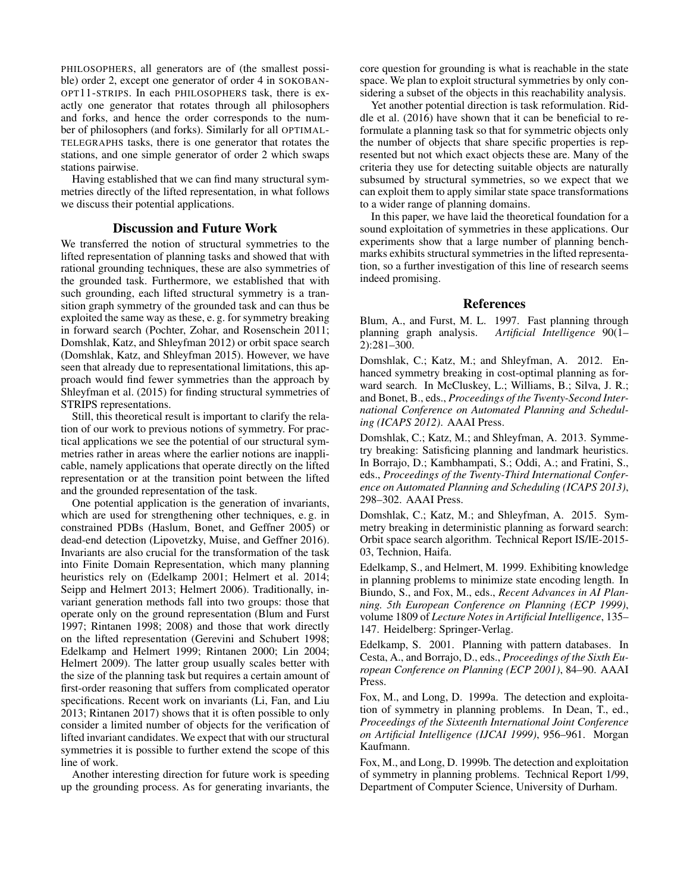PHILOSOPHERS, all generators are of (the smallest possible) order 2, except one generator of order 4 in SOKOBAN-OPT11-STRIPS. In each PHILOSOPHERS task, there is exactly one generator that rotates through all philosophers and forks, and hence the order corresponds to the number of philosophers (and forks). Similarly for all OPTIMAL-TELEGRAPHS tasks, there is one generator that rotates the stations, and one simple generator of order 2 which swaps stations pairwise.

Having established that we can find many structural symmetries directly of the lifted representation, in what follows we discuss their potential applications.

# Discussion and Future Work

We transferred the notion of structural symmetries to the lifted representation of planning tasks and showed that with rational grounding techniques, these are also symmetries of the grounded task. Furthermore, we established that with such grounding, each lifted structural symmetry is a transition graph symmetry of the grounded task and can thus be exploited the same way as these, e. g. for symmetry breaking in forward search (Pochter, Zohar, and Rosenschein 2011; Domshlak, Katz, and Shleyfman 2012) or orbit space search (Domshlak, Katz, and Shleyfman 2015). However, we have seen that already due to representational limitations, this approach would find fewer symmetries than the approach by Shleyfman et al. (2015) for finding structural symmetries of STRIPS representations.

Still, this theoretical result is important to clarify the relation of our work to previous notions of symmetry. For practical applications we see the potential of our structural symmetries rather in areas where the earlier notions are inapplicable, namely applications that operate directly on the lifted representation or at the transition point between the lifted and the grounded representation of the task.

One potential application is the generation of invariants, which are used for strengthening other techniques, e. g. in constrained PDBs (Haslum, Bonet, and Geffner 2005) or dead-end detection (Lipovetzky, Muise, and Geffner 2016). Invariants are also crucial for the transformation of the task into Finite Domain Representation, which many planning heuristics rely on (Edelkamp 2001; Helmert et al. 2014; Seipp and Helmert 2013; Helmert 2006). Traditionally, invariant generation methods fall into two groups: those that operate only on the ground representation (Blum and Furst 1997; Rintanen 1998; 2008) and those that work directly on the lifted representation (Gerevini and Schubert 1998; Edelkamp and Helmert 1999; Rintanen 2000; Lin 2004; Helmert 2009). The latter group usually scales better with the size of the planning task but requires a certain amount of first-order reasoning that suffers from complicated operator specifications. Recent work on invariants (Li, Fan, and Liu 2013; Rintanen 2017) shows that it is often possible to only consider a limited number of objects for the verification of lifted invariant candidates. We expect that with our structural symmetries it is possible to further extend the scope of this line of work.

Another interesting direction for future work is speeding up the grounding process. As for generating invariants, the

core question for grounding is what is reachable in the state space. We plan to exploit structural symmetries by only considering a subset of the objects in this reachability analysis.

Yet another potential direction is task reformulation. Riddle et al. (2016) have shown that it can be beneficial to reformulate a planning task so that for symmetric objects only the number of objects that share specific properties is represented but not which exact objects these are. Many of the criteria they use for detecting suitable objects are naturally subsumed by structural symmetries, so we expect that we can exploit them to apply similar state space transformations to a wider range of planning domains.

In this paper, we have laid the theoretical foundation for a sound exploitation of symmetries in these applications. Our experiments show that a large number of planning benchmarks exhibits structural symmetries in the lifted representation, so a further investigation of this line of research seems indeed promising.

# References

Blum, A., and Furst, M. L. 1997. Fast planning through planning graph analysis. Artificial Intelligence 90(1– planning graph analysis. *Artificial Intelligence* 90(1– 2):281–300.

Domshlak, C.; Katz, M.; and Shleyfman, A. 2012. Enhanced symmetry breaking in cost-optimal planning as forward search. In McCluskey, L.; Williams, B.; Silva, J. R.; and Bonet, B., eds., *Proceedings of the Twenty-Second International Conference on Automated Planning and Scheduling (ICAPS 2012)*. AAAI Press.

Domshlak, C.; Katz, M.; and Shleyfman, A. 2013. Symmetry breaking: Satisficing planning and landmark heuristics. In Borrajo, D.; Kambhampati, S.; Oddi, A.; and Fratini, S., eds., *Proceedings of the Twenty-Third International Conference on Automated Planning and Scheduling (ICAPS 2013)*, 298–302. AAAI Press.

Domshlak, C.; Katz, M.; and Shleyfman, A. 2015. Symmetry breaking in deterministic planning as forward search: Orbit space search algorithm. Technical Report IS/IE-2015- 03, Technion, Haifa.

Edelkamp, S., and Helmert, M. 1999. Exhibiting knowledge in planning problems to minimize state encoding length. In Biundo, S., and Fox, M., eds., *Recent Advances in AI Planning. 5th European Conference on Planning (ECP 1999)*, volume 1809 of *Lecture Notes in Artificial Intelligence*, 135– 147. Heidelberg: Springer-Verlag.

Edelkamp, S. 2001. Planning with pattern databases. In Cesta, A., and Borrajo, D., eds., *Proceedings of the Sixth European Conference on Planning (ECP 2001)*, 84–90. AAAI Press.

Fox, M., and Long, D. 1999a. The detection and exploitation of symmetry in planning problems. In Dean, T., ed., *Proceedings of the Sixteenth International Joint Conference on Artificial Intelligence (IJCAI 1999)*, 956–961. Morgan Kaufmann.

Fox, M., and Long, D. 1999b. The detection and exploitation of symmetry in planning problems. Technical Report 1/99, Department of Computer Science, University of Durham.